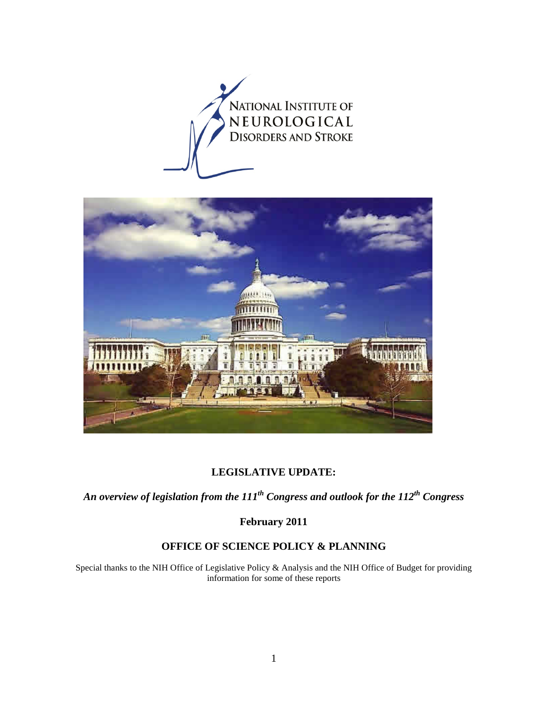



## **LEGISLATIVE UPDATE:**

*An overview of legislation from the 111th Congress and outlook for the 112th Congress* 

**February 2011** 

## **OFFICE OF SCIENCE POLICY & PLANNING**

Special thanks to the NIH Office of Legislative Policy & Analysis and the NIH Office of Budget for providing information for some of these reports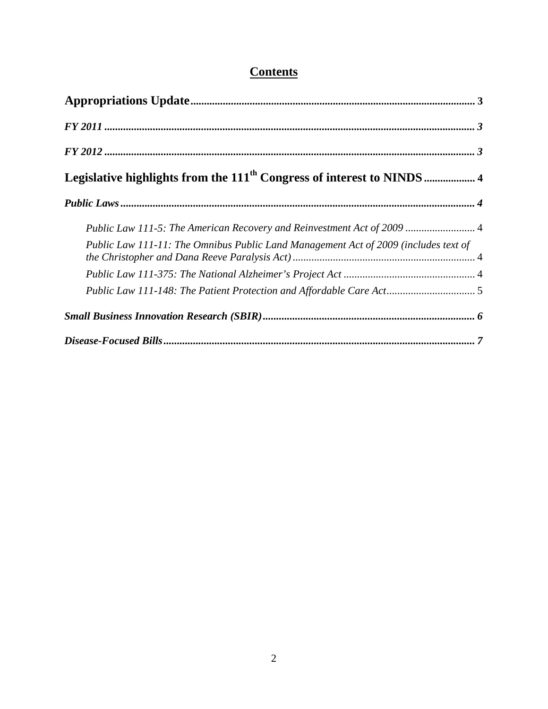# **Contents**

<span id="page-1-0"></span>

| Public Law 111-5: The American Recovery and Reinvestment Act of 2009  4             |
|-------------------------------------------------------------------------------------|
| Public Law 111-11: The Omnibus Public Land Management Act of 2009 (includes text of |
|                                                                                     |
| Public Law 111-148: The Patient Protection and Affordable Care Act 5                |
|                                                                                     |
|                                                                                     |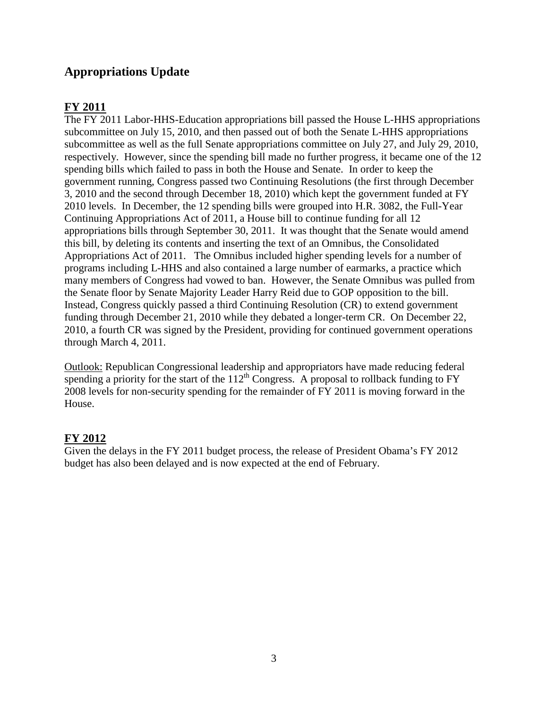## **Appropriations Update**

## <span id="page-2-0"></span>**FY 2011**

The FY 2011 Labor-HHS-Education appropriations bill passed the House L-HHS appropriations subcommittee on July 15, 2010, and then passed out of both the Senate L-HHS appropriations subcommittee as well as the full Senate appropriations committee on July 27, and July 29, 2010, respectively. However, since the spending bill made no further progress, it became one of the 12 spending bills which failed to pass in both the House and Senate. In order to keep the government running, Congress passed two Continuing Resolutions (the first through December 3, 2010 and the second through December 18, 2010) which kept the government funded at FY 2010 levels. In December, the 12 spending bills were grouped into H.R. 3082, the Full-Year Continuing Appropriations Act of 2011, a House bill to continue funding for all 12 appropriations bills through September 30, 2011. It was thought that the Senate would amend this bill, by deleting its contents and inserting the text of an Omnibus, the Consolidated Appropriations Act of 2011. The Omnibus included higher spending levels for a number of programs including L-HHS and also contained a large number of earmarks, a practice which many members of Congress had vowed to ban. However, the Senate Omnibus was pulled from the Senate floor by Senate Majority Leader Harry Reid due to GOP opposition to the bill. Instead, Congress quickly passed a third Continuing Resolution (CR) to extend government funding through December 21, 2010 while they debated a longer-term CR. On December 22, 2010, a fourth CR was signed by the President, providing for continued government operations through March 4, 2011.

Outlook: Republican Congressional leadership and appropriators have made reducing federal spending a priority for the start of the  $112^{th}$  Congress. A proposal to rollback funding to FY 2008 levels for non-security spending for the remainder of FY 2011 is moving forward in the House.

## <span id="page-2-1"></span>**FY 2012**

Given the delays in the FY 2011 budget process, the release of President Obama's FY 2012 budget has also been delayed and is now expected at the end of February.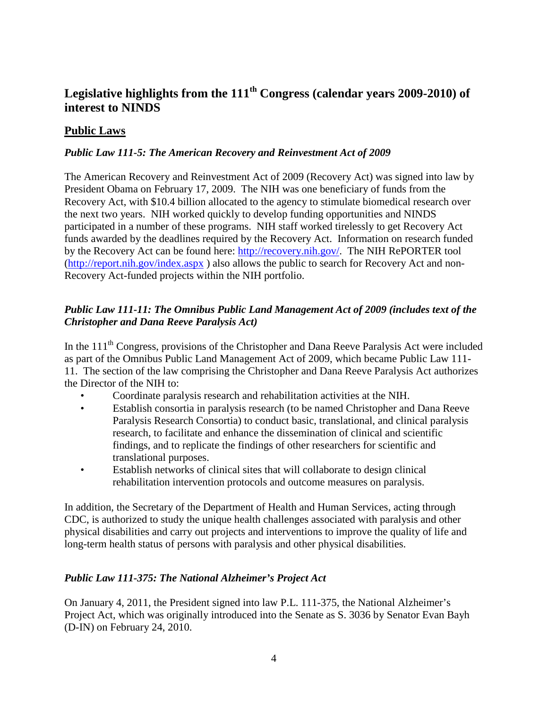# <span id="page-3-0"></span>**Legislative highlights from the 111th Congress (calendar years 2009-2010) of interest to NINDS**

## <span id="page-3-1"></span>**Public Laws**

#### <span id="page-3-2"></span>*Public Law 111-5: The American Recovery and Reinvestment Act of 2009*

The American Recovery and Reinvestment Act of 2009 (Recovery Act) was signed into law by President Obama on February 17, 2009. The NIH was one beneficiary of funds from the Recovery Act, with \$10.4 billion allocated to the agency to stimulate biomedical research over the next two years. NIH worked quickly to develop funding opportunities and NINDS participated in a number of these programs. NIH staff worked tirelessly to get Recovery Act funds awarded by the deadlines required by the Recovery Act. Information on research funded by the Recovery Act can be found here: [http://recovery.nih.gov/.](http://recovery.nih.gov/) The NIH RePORTER tool [\(http://report.nih.gov/index.aspx](http://report.nih.gov/index.aspx) ) also allows the public to search for Recovery Act and non-Recovery Act-funded projects within the NIH portfolio.

#### <span id="page-3-3"></span>*Public Law 111-11: The Omnibus Public Land Management Act of 2009 (includes text of the Christopher and Dana Reeve Paralysis Act)*

In the 111<sup>th</sup> Congress, provisions of the Christopher and Dana Reeve Paralysis Act were included as part of the Omnibus Public Land Management Act of 2009, which became Public Law 111- 11. The section of the law comprising the Christopher and Dana Reeve Paralysis Act authorizes the Director of the NIH to:

- Coordinate paralysis research and rehabilitation activities at the NIH.
- Establish consortia in paralysis research (to be named Christopher and Dana Reeve Paralysis Research Consortia) to conduct basic, translational, and clinical paralysis research, to facilitate and enhance the dissemination of clinical and scientific findings, and to replicate the findings of other researchers for scientific and translational purposes.
- Establish networks of clinical sites that will collaborate to design clinical rehabilitation intervention protocols and outcome measures on paralysis.

In addition, the Secretary of the Department of Health and Human Services, acting through CDC, is authorized to study the unique health challenges associated with paralysis and other physical disabilities and carry out projects and interventions to improve the quality of life and long-term health status of persons with paralysis and other physical disabilities.

#### <span id="page-3-4"></span>*Public Law 111-375: The National Alzheimer's Project Act*

On January 4, 2011, the President signed into law P.L. 111-375, the National Alzheimer's Project Act, which was originally introduced into the Senate as S. 3036 by Senator Evan Bayh (D-IN) on February 24, 2010.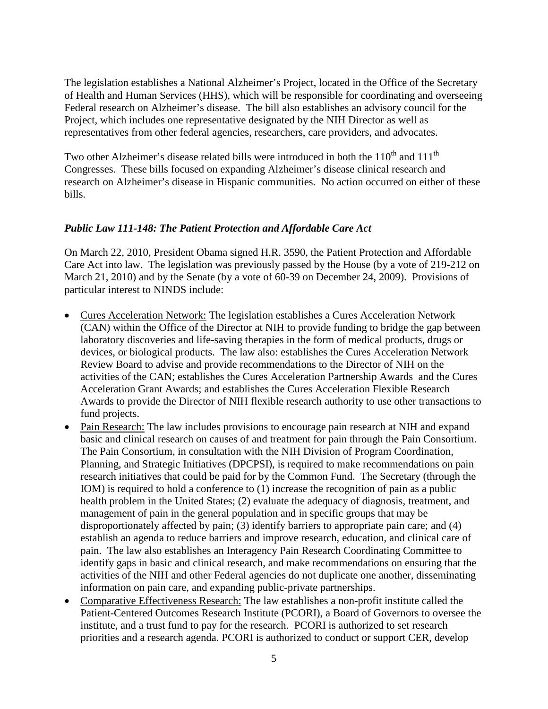The legislation establishes a National Alzheimer's Project, located in the Office of the Secretary of Health and Human Services (HHS), which will be responsible for coordinating and overseeing Federal research on Alzheimer's disease. The bill also establishes an advisory council for the Project, which includes one representative designated by the NIH Director as well as representatives from other federal agencies, researchers, care providers, and advocates.

Two other Alzheimer's disease related bills were introduced in both the  $110^{th}$  and  $111^{th}$ Congresses. These bills focused on expanding Alzheimer's disease clinical research and research on Alzheimer's disease in Hispanic communities. No action occurred on either of these bills.

#### <span id="page-4-0"></span>*Public Law 111-148: The Patient Protection and Affordable Care Act*

On March 22, 2010, President Obama signed H.R. 3590, the Patient Protection and Affordable Care Act into law. The legislation was previously passed by the House (by a vote of 219-212 on March 21, 2010) and by the Senate (by a vote of 60-39 on December 24, 2009). Provisions of particular interest to NINDS include:

- Cures Acceleration Network: The legislation establishes a Cures Acceleration Network (CAN) within the Office of the Director at NIH to provide funding to bridge the gap between laboratory discoveries and life-saving therapies in the form of medical products, drugs or devices, or biological products. The law also: establishes the Cures Acceleration Network Review Board to advise and provide recommendations to the Director of NIH on the activities of the CAN; establishes the Cures Acceleration Partnership Awards and the Cures Acceleration Grant Awards; and establishes the Cures Acceleration Flexible Research Awards to provide the Director of NIH flexible research authority to use other transactions to fund projects.
- Pain Research: The law includes provisions to encourage pain research at NIH and expand basic and clinical research on causes of and treatment for pain through the Pain Consortium. The Pain Consortium, in consultation with the NIH Division of Program Coordination, Planning, and Strategic Initiatives (DPCPSI), is required to make recommendations on pain research initiatives that could be paid for by the Common Fund. The Secretary (through the IOM) is required to hold a conference to (1) increase the recognition of pain as a public health problem in the United States; (2) evaluate the adequacy of diagnosis, treatment, and management of pain in the general population and in specific groups that may be disproportionately affected by pain; (3) identify barriers to appropriate pain care; and (4) establish an agenda to reduce barriers and improve research, education, and clinical care of pain. The law also establishes an Interagency Pain Research Coordinating Committee to identify gaps in basic and clinical research, and make recommendations on ensuring that the activities of the NIH and other Federal agencies do not duplicate one another, disseminating information on pain care, and expanding public-private partnerships.
- Comparative Effectiveness Research: The law establishes a non-profit institute called the Patient-Centered Outcomes Research Institute (PCORI), a Board of Governors to oversee the institute, and a trust fund to pay for the research. PCORI is authorized to set research priorities and a research agenda. PCORI is authorized to conduct or support CER, develop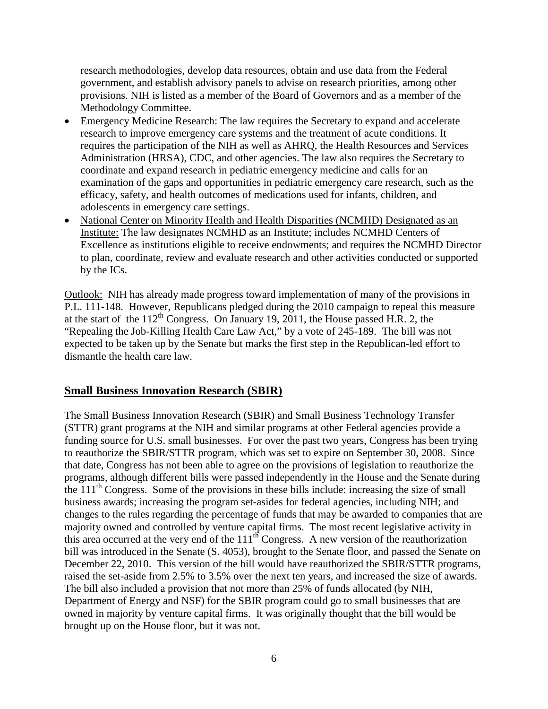research methodologies, develop data resources, obtain and use data from the Federal government, and establish advisory panels to advise on research priorities, among other provisions. NIH is listed as a member of the Board of Governors and as a member of the Methodology Committee.

- Emergency Medicine Research: The law requires the Secretary to expand and accelerate research to improve emergency care systems and the treatment of acute conditions. It requires the participation of the NIH as well as AHRQ, the Health Resources and Services Administration (HRSA), CDC, and other agencies. The law also requires the Secretary to coordinate and expand research in pediatric emergency medicine and calls for an examination of the gaps and opportunities in pediatric emergency care research, such as the efficacy, safety, and health outcomes of medications used for infants, children, and adolescents in emergency care settings.
- National Center on Minority Health and Health Disparities (NCMHD) Designated as an Institute: The law designates NCMHD as an Institute; includes NCMHD Centers of Excellence as institutions eligible to receive endowments; and requires the NCMHD Director to plan, coordinate, review and evaluate research and other activities conducted or supported by the ICs.

Outlook: NIH has already made progress toward implementation of many of the provisions in P.L. 111-148. However, Republicans pledged during the 2010 campaign to repeal this measure at the start of the  $112<sup>th</sup>$  Congress. On January 19, 2011, the House passed H.R. 2, the "Repealing the Job-Killing Health Care Law Act," by a vote of 245-189. The bill was not expected to be taken up by the Senate but marks the first step in the Republican-led effort to dismantle the health care law.

#### <span id="page-5-0"></span>**Small Business Innovation Research (SBIR)**

The Small Business Innovation Research (SBIR) and Small Business Technology Transfer (STTR) grant programs at the NIH and similar programs at other Federal agencies provide a funding source for U.S. small businesses. For over the past two years, Congress has been trying to reauthorize the SBIR/STTR program, which was set to expire on September 30, 2008. Since that date, Congress has not been able to agree on the provisions of legislation to reauthorize the programs, although different bills were passed independently in the House and the Senate during the  $111<sup>th</sup>$  Congress. Some of the provisions in these bills include: increasing the size of small business awards; increasing the program set-asides for federal agencies, including NIH; and changes to the rules regarding the percentage of funds that may be awarded to companies that are majority owned and controlled by venture capital firms. The most recent legislative activity in this area occurred at the very end of the  $111<sup>th</sup>$  Congress. A new version of the reauthorization bill was introduced in the Senate (S. 4053), brought to the Senate floor, and passed the Senate on December 22, 2010. This version of the bill would have reauthorized the SBIR/STTR programs, raised the set-aside from 2.5% to 3.5% over the next ten years, and increased the size of awards. The bill also included a provision that not more than 25% of funds allocated (by NIH, Department of Energy and NSF) for the SBIR program could go to small businesses that are owned in majority by venture capital firms. It was originally thought that the bill would be brought up on the House floor, but it was not.